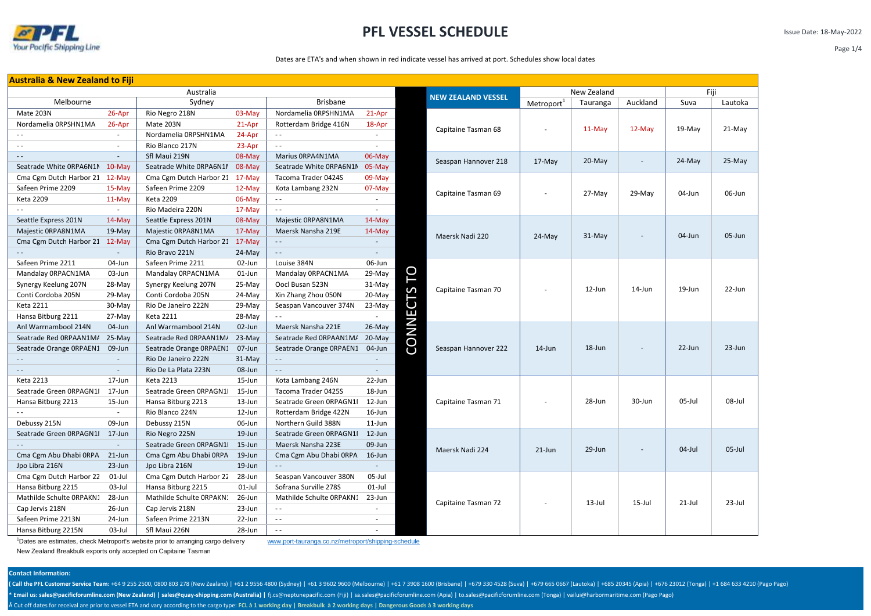

Issue Date: 18-May-2022

#### Dates are ETA's and when shown in red indicate vessel has arrived at port. Schedules show local dates

| <b>Australia &amp; New Zealand to Fiji</b> |                          |                                |            |                               |           |              |                           |                        |             |          |           |           |
|--------------------------------------------|--------------------------|--------------------------------|------------|-------------------------------|-----------|--------------|---------------------------|------------------------|-------------|----------|-----------|-----------|
| Australia                                  |                          |                                |            |                               |           |              | <b>NEW ZEALAND VESSEL</b> |                        | New Zealand | Fiji     |           |           |
| Melbourne                                  |                          | Sydney                         |            | <b>Brisbane</b>               |           |              |                           | Metroport <sup>1</sup> | Tauranga    | Auckland | Suva      | Lautoka   |
| Mate 203N                                  | 26-Apr                   | Rio Negro 218N                 | 03-May     | Nordamelia ORPSHN1MA          | 21-Apr    |              |                           |                        |             |          |           |           |
| Nordamelia ORPSHN1MA                       | 26-Apr                   | Mate 203N                      | 21-Apr     | Rotterdam Bridge 416N         | 18-Apr    |              | Capitaine Tasman 68       |                        | $11-May$    | 12-May   | 19-May    | $21-May$  |
|                                            | $\sim$                   | Nordamelia ORPSHN1MA           | 24-Apr     | $\sim$ $\sim$                 |           |              |                           |                        |             |          |           |           |
| $\sim$ $\sim$                              | $\sim$                   | Rio Blanco 217N                | 23-Apr     | $\sim$ $\sim$                 | ×.        |              |                           |                        |             |          |           |           |
|                                            | $\overline{\phantom{a}}$ | Sfl Maui 219N                  | 08-May     | Marius ORPA4N1MA              | 06-May    |              | Seaspan Hannover 218      | $17-May$               | 20-May      |          | $24$ -May | 25-May    |
| Seatrade White ORPA6N1M 10-May             |                          | Seatrade White ORPA6N1M        | 08-May     | Seatrade White ORPA6N1M       | 05-May    |              |                           |                        |             |          |           |           |
| Cma Cgm Dutch Harbor 21                    | $12-May$                 | Cma Cgm Dutch Harbor 21        | 17-May     | Tacoma Trader 0424S           | 09-May    |              |                           |                        |             |          |           |           |
| Safeen Prime 2209                          | 15-May                   | Safeen Prime 2209              | 12-May     | Kota Lambang 232N             | 07-May    |              |                           |                        | 27-May      | 29-May   | 04-Jun    | 06-Jun    |
| <b>Keta 2209</b>                           | $11-May$                 | Keta 2209                      | 06-May     | $\sim$ $\sim$                 | $\sim$    |              | Capitaine Tasman 69       | ÷,                     |             |          |           |           |
| $\sim$                                     | $\sim$                   | Rio Madeira 220N               | 17-May     | $\sim$ $\sim$                 | ×.        |              |                           |                        |             |          |           |           |
| Seattle Express 201N                       | 14-May                   | Seattle Express 201N           | 08-May     | Majestic ORPA8N1MA            | 14-May    |              |                           |                        |             |          |           |           |
| Majestic ORPA8N1MA                         | $19-May$                 | Majestic ORPA8N1MA             | 17-May     | Maersk Nansha 219E            | $14$ -May |              |                           |                        | $31-May$    |          | 04-Jun    | 05-Jun    |
| Cma Cgm Dutch Harbor 21 12-May             |                          | Cma Cgm Dutch Harbor 21 17-May |            | $\sim$ $\sim$                 |           |              | Maersk Nadi 220           | $24-May$               |             |          |           |           |
|                                            | $\sim$                   | Rio Bravo 221N                 | 24-May     | $\sim$ $-$                    |           |              |                           |                        |             |          |           |           |
| Safeen Prime 2211                          | 04-Jun                   | Safeen Prime 2211              | 02-Jun     | Louise 384N                   | 06-Jun    |              |                           |                        |             |          |           |           |
| Mandalay ORPACN1MA                         | 03-Jun                   | Mandalay ORPACN1MA             | $01$ -Jun  | Mandalay ORPACN1MA            | 29-May    | P            |                           |                        |             |          |           |           |
| Synergy Keelung 207N                       | 28-May                   | Synergy Keelung 207N           | 25-May     | Oocl Busan 523N               | 31-May    |              |                           |                        |             | 14-Jun   | 19-Jun    | 22-Jun    |
| Conti Cordoba 205N                         | 29-May                   | Conti Cordoba 205N             | 24-May     | Xin Zhang Zhou 050N           | 20-May    | $\mathsf{S}$ | Capitaine Tasman 70       |                        | 12-Jun      |          |           |           |
| <b>Keta 2211</b>                           | $30-May$                 | Rio De Janeiro 222N            | 29-May     | Seaspan Vancouver 374N        | $23-Mav$  | 5            |                           |                        |             |          |           |           |
| Hansa Bitburg 2211                         | $27-May$                 | <b>Keta 2211</b>               | 28-May     |                               | $\sim$    | CONNE        |                           |                        |             |          |           |           |
| Anl Warrnambool 214N                       | 04-Jun                   | Anl Warrnambool 214N           | 02-Jun     | Maersk Nansha 221E            | $26$ -May |              |                           |                        |             |          |           |           |
| Seatrade Red ORPAAN1M/                     | $25-May$                 | Seatrade Red ORPAAN1M/         | $23-May$   | Seatrade Red ORPAAN1M/        | $20-Mav$  |              |                           | $14$ -Jun              |             |          |           | 23-Jun    |
| Seatrade Orange ORPAEN1                    | 09-Jun                   | Seatrade Orange ORPAEN1        | 07-Jun     | Seatrade Orange ORPAEN1       | 04-Jun    |              | Seaspan Hannover 222      |                        | 18-Jun      |          | $22$ -Jun |           |
|                                            | $\overline{\phantom{a}}$ | Rio De Janeiro 222N            | 31-May     | $\sim$ $\sim$                 | $\sim$    |              |                           |                        |             |          |           |           |
| $\sim$ $\sim$                              | $\sim$                   | Rio De La Plata 223N           | 08-Jun     | $\sim$ $\sim$                 | $\sim$    |              |                           |                        |             |          |           |           |
| <b>Keta 2213</b>                           | 17-Jun                   | <b>Keta 2213</b>               | 15-Jun     | Kota Lambang 246N             | 22-Jun    |              |                           |                        |             |          |           |           |
| Seatrade Green ORPAGN1I                    | 17-Jun                   | Seatrade Green ORPAGN1         | 15-Jun     | Tacoma Trader 0425S           | 18-Jun    |              |                           |                        |             |          |           |           |
| Hansa Bitburg 2213                         | $15$ -Jun                | Hansa Bitburg 2213             | 13-Jun     | Seatrade Green ORPAGN1I       | 12-Jun    |              | Capitaine Tasman 71       |                        | 28-Jun      | 30-Jun   | 05-Jul    | 08-Jul    |
| $\sim$ $\sim$                              | $\sim$                   | Rio Blanco 224N                | 12-Jun     | Rotterdam Bridge 422N         | 16-Jun    |              |                           |                        |             |          |           |           |
| Debussy 215N                               | 09-Jun                   | Debussy 215N                   | 06-Jun     | Northern Guild 388N           | $11$ -Jun |              |                           |                        |             |          |           |           |
| Seatrade Green ORPAGN1I                    | 17-Jun                   | Rio Negro 225N                 | 19-Jun     | Seatrade Green ORPAGN1I       | 12-Jun    |              |                           |                        |             |          |           |           |
|                                            | $\omega$                 | Seatrade Green ORPAGN1         | $15 - Jun$ | Maersk Nansha 223E            | 09-Jun    |              | Maersk Nadi 224           |                        | 29-Jun      |          | $04$ -Jul | $05$ -Jul |
| Cma Cgm Abu Dhabi ORPA                     | 21-Jun                   | Cma Cgm Abu Dhabi ORPA         | 19-Jun     | Cma Cgm Abu Dhabi 0RPA 16-Jun |           |              |                           | $21$ -Jun              |             |          |           |           |
| Jpo Libra 216N                             | 23-Jun                   | Jpo Libra 216N                 | 19-Jun     | $\sim$ $-$                    |           |              |                           |                        |             |          |           |           |
| Cma Cgm Dutch Harbor 22                    | $01$ -Jul                | Cma Cgm Dutch Harbor 22        | 28-Jun     | Seaspan Vancouver 380N        | 05-Jul    |              |                           |                        |             |          |           |           |
| Hansa Bitburg 2215                         | $03$ -Jul                | Hansa Bitburg 2215             | $01$ -Jul  | Sofrana Surville 278S         | $01$ -Jul |              |                           |                        |             |          |           |           |
| Mathilde Schulte ORPAKN1                   | 28-Jun                   | Mathilde Schulte ORPAKN:       | 26-Jun     | Mathilde Schulte ORPAKN1      | 23-Jun    |              |                           |                        | 13-Jul      | 15-Jul   | $21$ -Jul | 23-Jul    |
| Cap Jervis 218N                            | 26-Jun                   | Cap Jervis 218N                | 23-Jun     | $\sim$ $\sim$                 |           |              | Capitaine Tasman 72       |                        |             |          |           |           |
| Safeen Prime 2213N                         | 24-Jun                   | Safeen Prime 2213N             | 22-Jun     | $\sim$ $\sim$                 | $\sim$    |              |                           |                        |             |          |           |           |
| Hansa Bitburg 2215N                        | 03-Jul                   | Sfl Maui 226N                  | 28-Jun     | $\sim$ $\sim$                 |           |              |                           |                        |             |          |           |           |

<sup>1</sup>Dates are estimates, check Metroport's website prior to arranging cargo delivery www.port-tauranga.co.nz/metroport/shipping-schedule

New Zealand Breakbulk exports only accepted on Capitaine Tasman

#### **Contact Information:**

(Call the PFL Customer Service Team: +64 9 255 2500, 0800 803 278 (New Zealans) | +61 2 9556 4800 (Sydney) | +61 3 9602 9600 (Melbourne) | +61 7 3908 1600 (Brisbane) | +679 330 4528 (Suva) | +679 665 0667 (Lautoka) | +685

\* Email us: sales@pacificforumline.com (New Zealand) | sales@quay-shipping.com (Australia) | fj.cs@neptunepacific.com (Fiji) | sa.sales@pacificforumline.com (Apia) | to.sales@pacificforumline.com (Tonga) | vailui@harbormar

Cut off dates for receival are prior to vessel ETA and vary according to the cargo type: **FCL à 1 working day | Breakbulk à 2 working days | Dangerous Goods à 3 working days**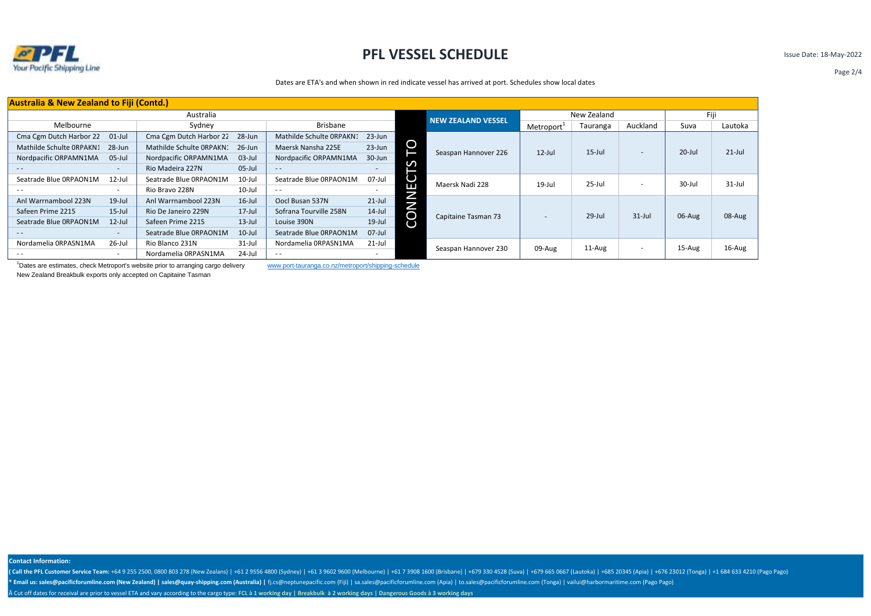

Issue Date: 18-May-2022

Page 2/4

Dates are ETA's and when shown in red indicate vessel has arrived at port. Schedules show local dates

|                             |                                                                                                                     |                                                 | Fiji                                                |                                       |                               |
|-----------------------------|---------------------------------------------------------------------------------------------------------------------|-------------------------------------------------|-----------------------------------------------------|---------------------------------------|-------------------------------|
|                             | Metroport                                                                                                           | Tauranga                                        | Auckland                                            | Suva                                  | Lautoka                       |
|                             |                                                                                                                     |                                                 |                                                     |                                       |                               |
|                             | $12$ -Jul                                                                                                           | $15$ -Jul                                       |                                                     | $20$ -Jul                             | $21$ -Jul                     |
|                             |                                                                                                                     |                                                 |                                                     |                                       |                               |
|                             |                                                                                                                     |                                                 |                                                     |                                       |                               |
|                             |                                                                                                                     |                                                 |                                                     |                                       | $31 -$ Jul                    |
|                             |                                                                                                                     |                                                 |                                                     |                                       |                               |
|                             |                                                                                                                     |                                                 |                                                     |                                       |                               |
|                             |                                                                                                                     |                                                 |                                                     |                                       | 08-Aug                        |
|                             |                                                                                                                     |                                                 |                                                     |                                       |                               |
|                             |                                                                                                                     |                                                 |                                                     |                                       |                               |
|                             |                                                                                                                     |                                                 |                                                     |                                       | $16$ -Aug                     |
|                             |                                                                                                                     |                                                 |                                                     |                                       |                               |
| DТ<br>m<br>Ë<br><b>CONN</b> | <b>NEW ZEALAND VESSEL</b><br>Seaspan Hannover 226<br>Maersk Nadi 228<br>Capitaine Tasman 73<br>Seaspan Hannover 230 | $19$ -Jul<br>$\overline{\phantom{a}}$<br>09-Aug | New Zealand<br>$25 -$ Jul<br>$29$ -Jul<br>$11$ -Aug | $\overline{\phantom{a}}$<br>$31$ -Jul | 30-Jul<br>06-Aug<br>$15-Au$ g |

<sup>1</sup>Dates are estimates, check Metroport's website prior to arranging cargo delivery www.port-tauranga.co.nz/metroport/shipping-schedule

New Zealand Breakbulk exports only accepted on Capitaine Tasman

**Contact Information:**

(Call the PFL Customer Service Team: +64 9 255 2500, 0800 803 278 (New Zealans) | +61 2 9556 4800 (Sydney) | +61 3 9602 9600 (Melbourne) | +61 7 3908 1600 (Brisbane) | +679 330 4528 (Suva) | +679 665 0667 (Lautoka) | +685 \* Email us: sales@pacificforumline.com (New Zealand) | sales@quay-shipping.com (Australia) | fj.cs@neptunepacific.com (Fiji) | sa.sales@pacificforumline.com (Apia) | to.sales@pacificforumline.com (Tonga) | vailui@harbormar Cut off dates for receival are prior to vessel ETA and vary according to the cargo type: **FCL à 1 working day | Breakbulk à 2 working days | Dangerous Goods à 3 working days**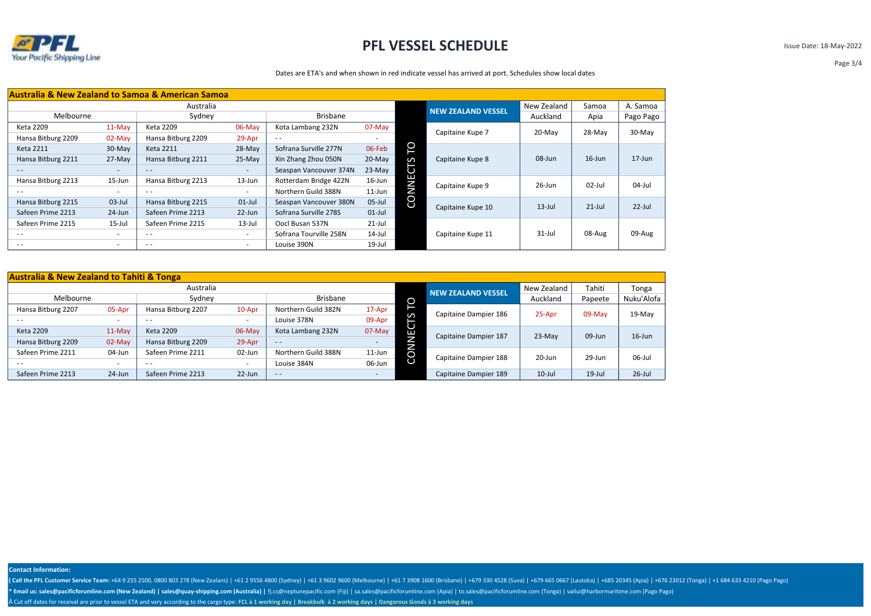

Issue Date: 18-May-2022

Page 3/4

### Dates are ETA's and when shown in red indicate vessel has arrived at port. Schedules show local dates

| <b>Australia &amp; New Zealand to Samoa &amp; American Samoa</b> |                          |                    |                          |                        |           |                           |                   |           |           |            |
|------------------------------------------------------------------|--------------------------|--------------------|--------------------------|------------------------|-----------|---------------------------|-------------------|-----------|-----------|------------|
| Australia                                                        |                          |                    |                          |                        |           | <b>NEW ZEALAND VESSEL</b> | New Zealand       | Samoa     | A. Samoa  |            |
| Melbourne                                                        |                          | Sydney             |                          | <b>Brisbane</b>        |           |                           |                   | Auckland  | Apia      | Pago Pago  |
| Keta 2209                                                        | $11-Mav$                 | Keta 2209          | 06-May                   | Kota Lambang 232N      | 07-May    |                           | Capitaine Kupe 7  | 20-May    | 28-May    | 30-May     |
| Hansa Bitburg 2209                                               | $02-Mav$                 | Hansa Bitburg 2209 | 29-Apr                   | $\sim$ $\sim$          |           |                           |                   |           |           |            |
| <b>Keta 2211</b>                                                 | 30-May                   | <b>Keta 2211</b>   | 28-May                   | Sofrana Surville 277N  | 06-Feb    | O                         |                   |           |           |            |
| Hansa Bitburg 2211                                               | $27-May$                 | Hansa Bitburg 2211 | 25-May                   | Xin Zhang Zhou 050N    | $20$ -May | S                         | Capitaine Kupe 8  | 08-Jun    | $16$ -Jun | $17 - Jun$ |
| $\frac{1}{2}$                                                    | $\overline{\phantom{a}}$ | $ -$               | $\sim$                   | Seaspan Vancouver 374N | $23-May$  | ن                         |                   |           |           |            |
| Hansa Bitburg 2213                                               | 15-Jun                   | Hansa Bitburg 2213 | $13 - Jun$               | Rotterdam Bridge 422N  | $16$ -Jun | Е<br>Z                    | Capitaine Kupe 9  | $26$ -Jun | $02$ -Jul | $04$ -Jul  |
| $\sim$ $\sim$                                                    |                          | $\sim$ $\sim$      | $\overline{\phantom{a}}$ | Northern Guild 388N    | $11$ -Jun |                           |                   |           |           |            |
| Hansa Bitburg 2215                                               | $03$ -Jul                | Hansa Bitburg 2215 | $01$ -Jul                | Seaspan Vancouver 380N | $05$ -Jul | CO                        | Capitaine Kupe 10 | $13$ -Jul | $21$ -Jul | $22$ -Jul  |
| Safeen Prime 2213                                                | 24-Jun                   | Safeen Prime 2213  | $22$ -Jun                | Sofrana Surville 278S  | $01$ -Jul |                           |                   |           |           |            |
| Safeen Prime 2215                                                | 15-Jul                   | Safeen Prime 2215  | 13-Jul                   | Oocl Busan 537N        | $21$ -Jul |                           |                   |           |           |            |
| $\sim$ $\sim$                                                    | $\overline{\phantom{a}}$ | $ -$               | $\sim$                   | Sofrana Tourville 258N | $14$ -Jul |                           | Capitaine Kupe 11 | $31$ -Jul | 08-Aug    | 09-Aug     |
| $\frac{1}{2}$                                                    | $\sim$                   | $ -$               | $\sim$                   | Louise 390N            | $19$ -Jul |                           |                   |           |           |            |

| <b>Australia &amp; New Zealand to Tahiti &amp; Tonga</b> |                          |                    |           |                     |           |        |                           |             |           |            |
|----------------------------------------------------------|--------------------------|--------------------|-----------|---------------------|-----------|--------|---------------------------|-------------|-----------|------------|
| Australia                                                |                          |                    |           |                     |           |        | <b>NEW ZEALAND VESSEL</b> | New Zealand | Tahiti    | Tonga      |
| Melbourne                                                |                          | Sydney             |           | Brisbane            |           | O      |                           | Auckland    | Papeete   | Nuku'Alofa |
| Hansa Bitburg 2207                                       | 05-Apr                   | Hansa Bitburg 2207 | 10-Apr    | Northern Guild 382N | 17-Apr    |        | Capitaine Dampier 186     | 25-Apr      | 09-May    | 19-May     |
| $\sim$ $\sim$                                            | $\overline{\phantom{a}}$ | - -                | ۰         | Louise 378N         | 09-Apr    | S      |                           |             |           |            |
| <b>Keta 2209</b>                                         | 11-May                   | Keta 2209          | $06$ -May | Kota Lambang 232N   | 07-May    | ◡<br>Е | Capitaine Dampier 187     | 23-May      | 09-Jun    | $16$ -Jun  |
| Hansa Bitburg 2209                                       | 02-May                   | Hansa Bitburg 2209 | 29-Apr    | $\frac{1}{2}$       |           | j      |                           |             |           |            |
| Safeen Prime 2211                                        | 04-Jun                   | Safeen Prime 2211  | 02-Jun    | Northern Guild 388N | $11$ -Jun | ◡      | Capitaine Dampier 188     | 20-Jun      | 29-Jun    | 06-Jul     |
| $ -$                                                     | $\overline{\phantom{a}}$ | $ -$               |           | Louise 384N         | 06-Jun    |        |                           |             |           |            |
| Safeen Prime 2213                                        | $24$ -Jun                | Safeen Prime 2213  | $22$ -Jun | $\qquad \qquad -$   |           |        | Capitaine Dampier 189     | $10$ -Jul   | $19$ -Jul | $26$ -Jul  |

**Contact Information:**

(Call the PFL Customer Service Team: +64 9 255 2500, 0800 803 278 (New Zealans) | +61 2 9556 4800 (Sydney) | +61 3 9602 9600 (Melbourne) | +61 7 3908 1600 (Brisbane) | +679 330 4528 (Suva) | +679 665 0667 (Lautoka) | +685 \* Email us: sales@pacificforumline.com (New Zealand) | sales@quay-shipping.com (Australia) | fj.cs@neptunepacific.com (Fiji) | sa.sales@pacificforumline.com (Apia) | to.sales@pacificforumline.com (Tonga) | vailui@harbormar Cut off dates for receival are prior to vessel ETA and vary according to the cargo type: **FCL à 1 working day | Breakbulk à 2 working days | Dangerous Goods à 3 working days**